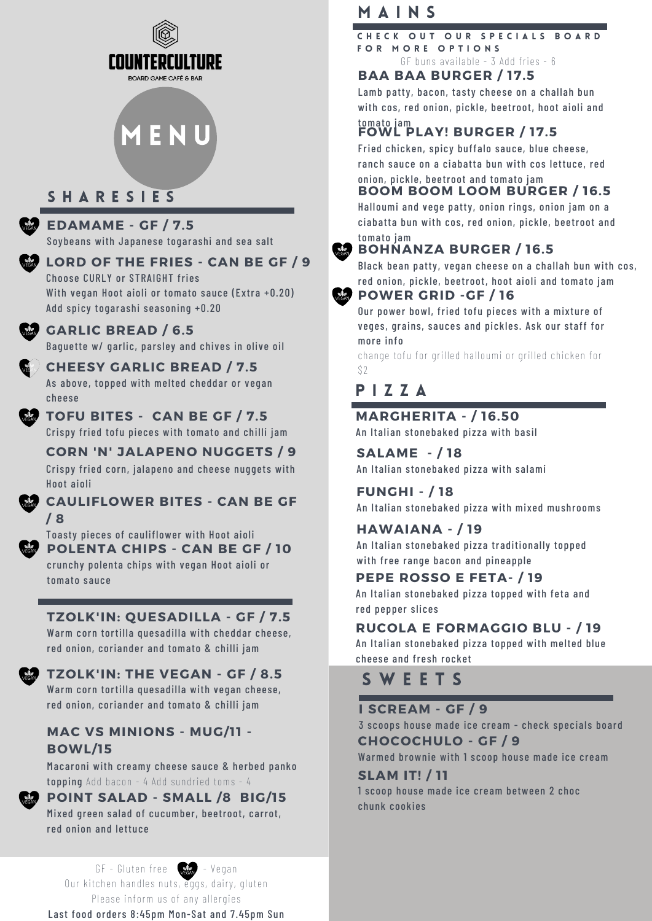

# **MENU**

# S H A R E S I E S

#### **EDAMAME - GF / 7.5**

Soybeans with Japanese togarashi and sea salt

**LORD OF THE FRIES - CAN BE GF / 9**

Choose CURLY or STRAIGHT fries With vegan Hoot aioli or tomato sauce (Extra +0.20) Add spicy togarashi seasoning +0.20

#### **GARLIC BREAD / 6.5**

Baguette w/ garlic, parsley and chives in olive oil

**CHEESY GARLIC BREAD / 7.5** As above, topped with melted cheddar or vegan cheese

#### **TOFU BITES - CAN BE GF / 7.5**

Crispy fried tofu pieces with tomato and chilli jam

**CORN 'N' JALAPENO NUGGETS / 9** Crispy fried corn, jalapeno and cheese nuggets with Hoot aioli

#### **CAULIFLOWER BITES - CAN BE GF / 8**

**POLENTA CHIPS - CAN BE GF / 10** crunchy polenta chips with vegan Hoot aioli or tomato sauce Toasty pieces of cauliflower with Hoot aioli

### **TZOLK'IN: QUESADILLA - GF / 7.5**

Warm corn tortilla quesadilla with cheddar cheese, red onion, coriander and tomato & chilli jam

**TZOLK'IN: THE VEGAN - GF / 8.5** Warm corn tortilla quesadilla with vegan cheese,

red onion, coriander and tomato & chilli jam

#### **MAC VS MINIONS - MUG/11 - BOWL/15**

Macaroni with creamy cheese sauce & herbed panko topping Add bacon - 4 Add sundried toms - 4

#### **POINT SALAD - SMALL /8 BIG/15**

Mixed green salad of cucumber, beetroot, carrot, red onion and lettuce

 $GF - Gluten free -  $\sqrt{2\pi}$  - Vegan$ Our kitchen handles nuts, eggs, dairy, gluten Please inform us of any allergies Last food orders 8:45pm Mon-Sat and 7.45pm Sun

# M A I N S

GF buns available - 3 Add fries - 6 CHECK OUT OUR SPECIALS BOARD FOR MORE OPTIONS

#### **BAA BAA BURGER / 17.5**

Lamb patty, bacon, tasty cheese on a challah bun with cos, red onion, pickle, beetroot, hoot aioli and tomato jam

# **FOWL PLAY! BURGER / 17.5**

Fried chicken, spicy buffalo sauce, blue cheese, ranch sauce on a ciabatta bun with cos lettuce, red onion, pickle, beetroot and tomato jam

### **BOOM BOOM LOOM BURGER / 16.5**

Halloumi and vege patty, onion rings, onion jam on a ciabatta bun with cos, red onion, pickle, beetroot and tomato jam

#### **BOHNANZA BURGER / 16.5**

Black bean patty, vegan cheese on a challah bun with cos, red onion, pickle, beetroot, hoot aioli and tomato jam

#### **POWER GRID -GF / 16**

Our power bowl, fried tofu pieces with a mixture of veges, grains, sauces and pickles. Ask our staff for more info

change tofu for grilled halloumi or grilled chicken for \$2

# P I Z Z A

#### **MARGHERITA - / 16.50**

An Italian stonebaked pizza with basil

**SALAME - / 18** An Italian stonebaked pizza with salami

**FUNGHI - / 18** An Italian stonebaked pizza with mixed mushrooms

#### **HAWAIANA - / 19**

An Italian stonebaked pizza traditionally topped with free range bacon and pineapple

### **PEPE ROSSO E FETA- / 19**

An Italian stonebaked pizza topped with feta and red pepper slices

#### **RUCOLA E FORMAGGIO BLU - / 19**

An Italian stonebaked pizza topped with melted blue cheese and fresh rocket

# S W E E T S

#### **I SCREAM - GF / 9**

3 scoops house made ice cream - check specials board **CHOCOCHULO - GF / 9**

Warmed brownie with 1 scoop house made ice cream

#### **SLAM IT! / 11**

1 scoop house made ice cream between 2 choc chunk cookies